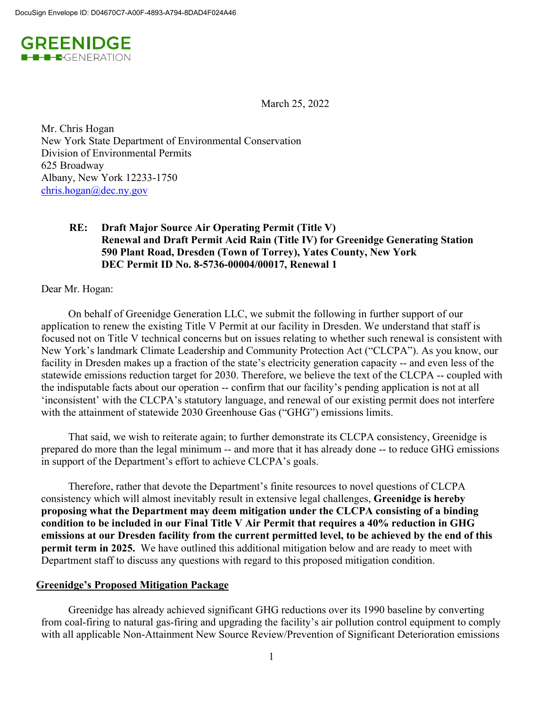

March 25, 2022

Mr. Chris Hogan New York State Department of Environmental Conservation Division of Environmental Permits 625 Broadway Albany, New York 12233-1750 [chris.hogan@dec.ny.gov](mailto:chris.hogan@dec.ny.gov)

## **RE: Draft Major Source Air Operating Permit (Title V) Renewal and Draft Permit Acid Rain (Title IV) for Greenidge Generating Station 590 Plant Road, Dresden (Town of Torrey), Yates County, New York DEC Permit ID No. 8-5736-00004/00017, Renewal 1**

Dear Mr. Hogan:

On behalf of Greenidge Generation LLC, we submit the following in further support of our application to renew the existing Title V Permit at our facility in Dresden. We understand that staff is focused not on Title V technical concerns but on issues relating to whether such renewal is consistent with New York's landmark Climate Leadership and Community Protection Act ("CLCPA"). As you know, our facility in Dresden makes up a fraction of the state's electricity generation capacity -- and even less of the statewide emissions reduction target for 2030. Therefore, we believe the text of the CLCPA -- coupled with the indisputable facts about our operation -- confirm that our facility's pending application is not at all 'inconsistent' with the CLCPA's statutory language, and renewal of our existing permit does not interfere with the attainment of statewide 2030 Greenhouse Gas ("GHG") emissions limits.

That said, we wish to reiterate again; to further demonstrate its CLCPA consistency, Greenidge is prepared do more than the legal minimum -- and more that it has already done -- to reduce GHG emissions in support of the Department's effort to achieve CLCPA's goals.

Therefore, rather that devote the Department's finite resources to novel questions of CLCPA consistency which will almost inevitably result in extensive legal challenges, **Greenidge is hereby proposing what the Department may deem mitigation under the CLCPA consisting of a binding condition to be included in our Final Title V Air Permit that requires a 40% reduction in GHG emissions at our Dresden facility from the current permitted level, to be achieved by the end of this permit term in 2025.** We have outlined this additional mitigation below and are ready to meet with Department staff to discuss any questions with regard to this proposed mitigation condition.

## **Greenidge's Proposed Mitigation Package**

Greenidge has already achieved significant GHG reductions over its 1990 baseline by converting from coal-firing to natural gas-firing and upgrading the facility's air pollution control equipment to comply with all applicable Non-Attainment New Source Review/Prevention of Significant Deterioration emissions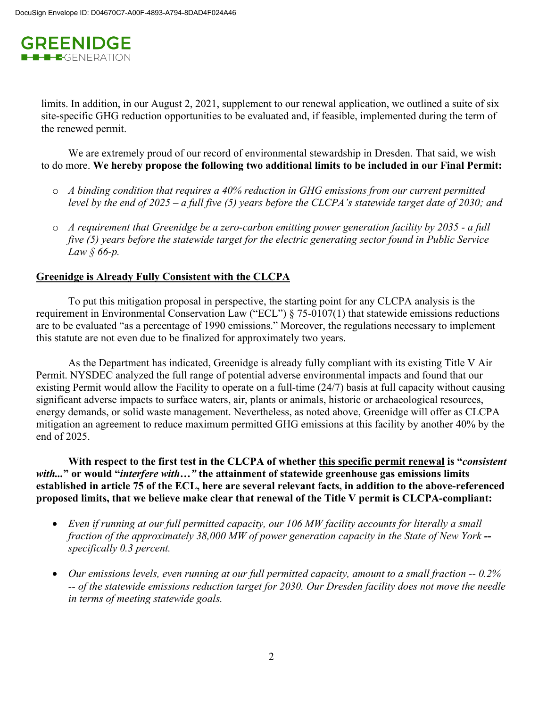

limits. In addition, in our August 2, 2021, supplement to our renewal application, we outlined a suite of six site-specific GHG reduction opportunities to be evaluated and, if feasible, implemented during the term of the renewed permit.

We are extremely proud of our record of environmental stewardship in Dresden. That said, we wish to do more. **We hereby propose the following two additional limits to be included in our Final Permit:** 

- o *A binding condition that requires a 40% reduction in GHG emissions from our current permitted level by the end of 2025 – a full five (5) years before the CLCPA's statewide target date of 2030; and*
- o *A requirement that Greenidge be a zero-carbon emitting power generation facility by 2035 - a full five (5) years before the statewide target for the electric generating sector found in Public Service Law § 66-p.*

## **Greenidge is Already Fully Consistent with the CLCPA**

To put this mitigation proposal in perspective, the starting point for any CLCPA analysis is the requirement in Environmental Conservation Law ("ECL")  $\S$  75-0107(1) that statewide emissions reductions are to be evaluated "as a percentage of 1990 emissions." Moreover, the regulations necessary to implement this statute are not even due to be finalized for approximately two years.

As the Department has indicated, Greenidge is already fully compliant with its existing Title V Air Permit. NYSDEC analyzed the full range of potential adverse environmental impacts and found that our existing Permit would allow the Facility to operate on a full-time (24/7) basis at full capacity without causing significant adverse impacts to surface waters, air, plants or animals, historic or archaeological resources, energy demands, or solid waste management. Nevertheless, as noted above, Greenidge will offer as CLCPA mitigation an agreement to reduce maximum permitted GHG emissions at this facility by another 40% by the end of 2025.

**With respect to the first test in the CLCPA of whether this specific permit renewal is "***consistent with...***" or would "***interfere with…"* **the attainment of statewide greenhouse gas emissions limits established in article 75 of the ECL, here are several relevant facts, in addition to the above-referenced proposed limits, that we believe make clear that renewal of the Title V permit is CLCPA-compliant:** 

- *Even if running at our full permitted capacity, our 106 MW facility accounts for literally a small fraction of the approximately 38,000 MW of power generation capacity in the State of New York - specifically 0.3 percent.*
- *Our emissions levels, even running at our full permitted capacity, amount to a small fraction -- 0.2% -- of the statewide emissions reduction target for 2030. Our Dresden facility does not move the needle in terms of meeting statewide goals.*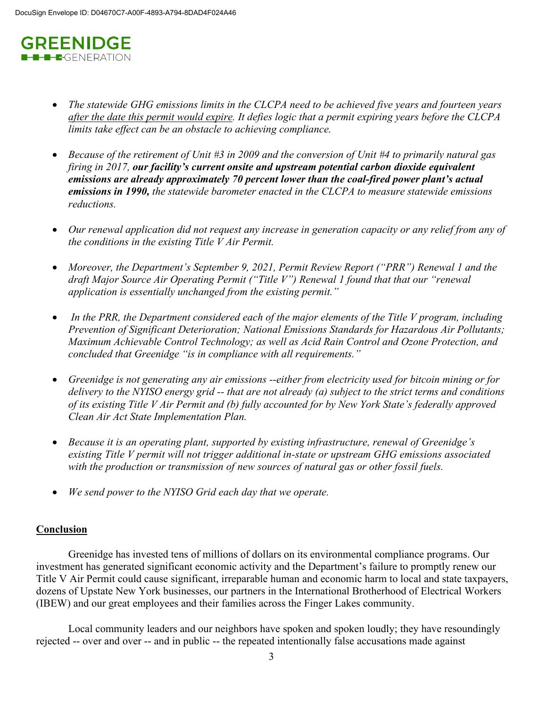

- *The statewide GHG emissions limits in the CLCPA need to be achieved five years and fourteen years after the date this permit would expire. It defies logic that a permit expiring years before the CLCPA limits take effect can be an obstacle to achieving compliance.*
- *Because of the retirement of Unit #3 in 2009 and the conversion of Unit #4 to primarily natural gas firing in 2017, our facility's current onsite and upstream potential carbon dioxide equivalent emissions are already approximately 70 percent lower than the coal-fired power plant's actual emissions in 1990, the statewide barometer enacted in the CLCPA to measure statewide emissions reductions.*
- *Our renewal application did not request any increase in generation capacity or any relief from any of the conditions in the existing Title V Air Permit.*
- *Moreover, the Department's September 9, 2021, Permit Review Report ("PRR") Renewal 1 and the draft Major Source Air Operating Permit ("Title V") Renewal 1 found that that our "renewal application is essentially unchanged from the existing permit."*
- *In the PRR, the Department considered each of the major elements of the Title V program, including Prevention of Significant Deterioration; National Emissions Standards for Hazardous Air Pollutants; Maximum Achievable Control Technology; as well as Acid Rain Control and Ozone Protection, and concluded that Greenidge "is in compliance with all requirements."*
- *Greenidge is not generating any air emissions --either from electricity used for bitcoin mining or for delivery to the NYISO energy grid -- that are not already (a) subject to the strict terms and conditions of its existing Title V Air Permit and (b) fully accounted for by New York State's federally approved Clean Air Act State Implementation Plan.*
- *Because it is an operating plant, supported by existing infrastructure, renewal of Greenidge's existing Title V permit will not trigger additional in-state or upstream GHG emissions associated with the production or transmission of new sources of natural gas or other fossil fuels.*
- *We send power to the NYISO Grid each day that we operate.*

## **Conclusion**

Greenidge has invested tens of millions of dollars on its environmental compliance programs. Our investment has generated significant economic activity and the Department's failure to promptly renew our Title V Air Permit could cause significant, irreparable human and economic harm to local and state taxpayers, dozens of Upstate New York businesses, our partners in the International Brotherhood of Electrical Workers (IBEW) and our great employees and their families across the Finger Lakes community.

Local community leaders and our neighbors have spoken and spoken loudly; they have resoundingly rejected -- over and over -- and in public -- the repeated intentionally false accusations made against